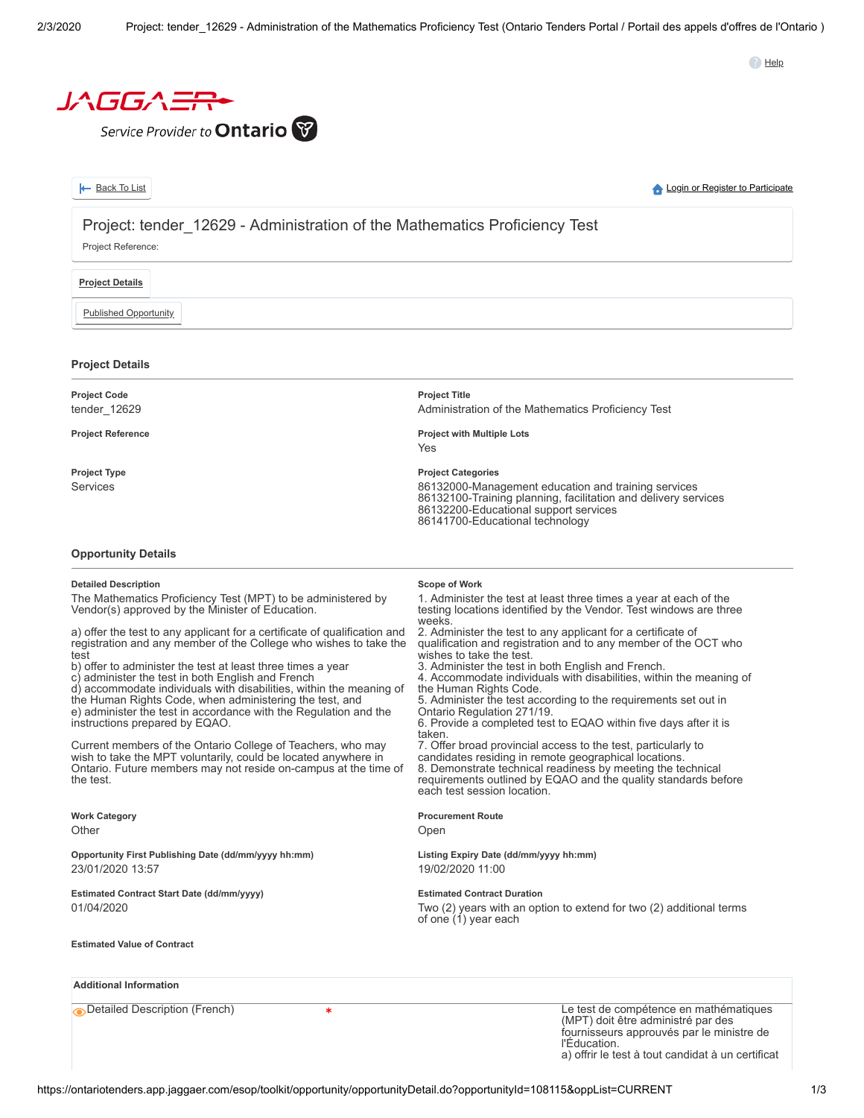**B** Help



Service Provider to **Ontario** 

|--|

**A** [Login or Register to Participate](https://ontariotenders.app.jaggaer.com/)

# Project: tender 12629 - Administration of the Mathematics Proficiency Test

Project Reference:

## **Project Details**

Published Opportunity

## **Project Details**

| <b>Project Code</b><br>tender 12629 | <b>Project Title</b><br>Administration of the Mathematics Proficiency Test                                                                                                                                                     |
|-------------------------------------|--------------------------------------------------------------------------------------------------------------------------------------------------------------------------------------------------------------------------------|
| <b>Project Reference</b>            | <b>Project with Multiple Lots</b><br>Yes                                                                                                                                                                                       |
| Project Type<br>Services            | <b>Project Categories</b><br>86132000-Management education and training services<br>86132100-Training planning, facilitation and delivery services<br>86132200-Educational support services<br>86141700-Educational technology |

#### **Opportunity Details**

#### **Detailed Description**

The Mathematics Proficiency Test (MPT) to be administered by Vendor(s) approved by the Minister of Education.

a) offer the test to any applicant for a certificate of qualification and registration and any member of the College who wishes to take the test

b) offer to administer the test at least three times a year

c) administer the test in both English and French

d) accommodate individuals with disabilities, within the meaning of the Human Rights Code, when administering the test, and e) administer the test in accordance with the Regulation and the instructions prepared by EQAO.

Current members of the Ontario College of Teachers, who may wish to take the MPT voluntarily, could be located anywhere in Ontario. Future members may not reside on-campus at the time of the test.

**Work Category Other** 

**Opportunity First Publishing Date (dd/mm/yyyy hh:mm)** 23/01/2020 13:57

**Estimated Contract Start Date (dd/mm/yyyy)** 01/04/2020

**Estimated Value of Contract**

**Additional Information**

**Scope of Work**

1. Administer the test at least three times a year at each of the testing locations identified by the Vendor. Test windows are three weeks

2. Administer the test to any applicant for a certificate of qualification and registration and to any member of the OCT who wishes to take the test.

3. Administer the test in both English and French.

4. Accommodate individuals with disabilities, within the meaning of the Human Rights Code.

5. Administer the test according to the requirements set out in Ontario Regulation 271/19.

6. Provide a completed test to EQAO within five days after it is taken.

7. Offer broad provincial access to the test, particularly to candidates residing in remote geographical locations. 8. Demonstrate technical readiness by meeting the technical requirements outlined by EQAO and the quality standards before each test session location.

#### **Procurement Route**

Open

**Listing Expiry Date (dd/mm/yyyy hh:mm)** 19/02/2020 11:00

#### **Estimated Contract Duration**

Two (2) years with an option to extend for two (2) additional terms of one (1) year each

Detailed Description (French) Le test de compétence en mathématiques (MPT) doit être administré par des fournisseurs approuvés par le ministre de l'Éducation. a) offrir le test à tout candidat à un certificat

https://ontariotenders.app.jaggaer.com/esop/toolkit/opportunity/opportunityDetail.do?opportunityId=108115&oppList=CURRENT 1/3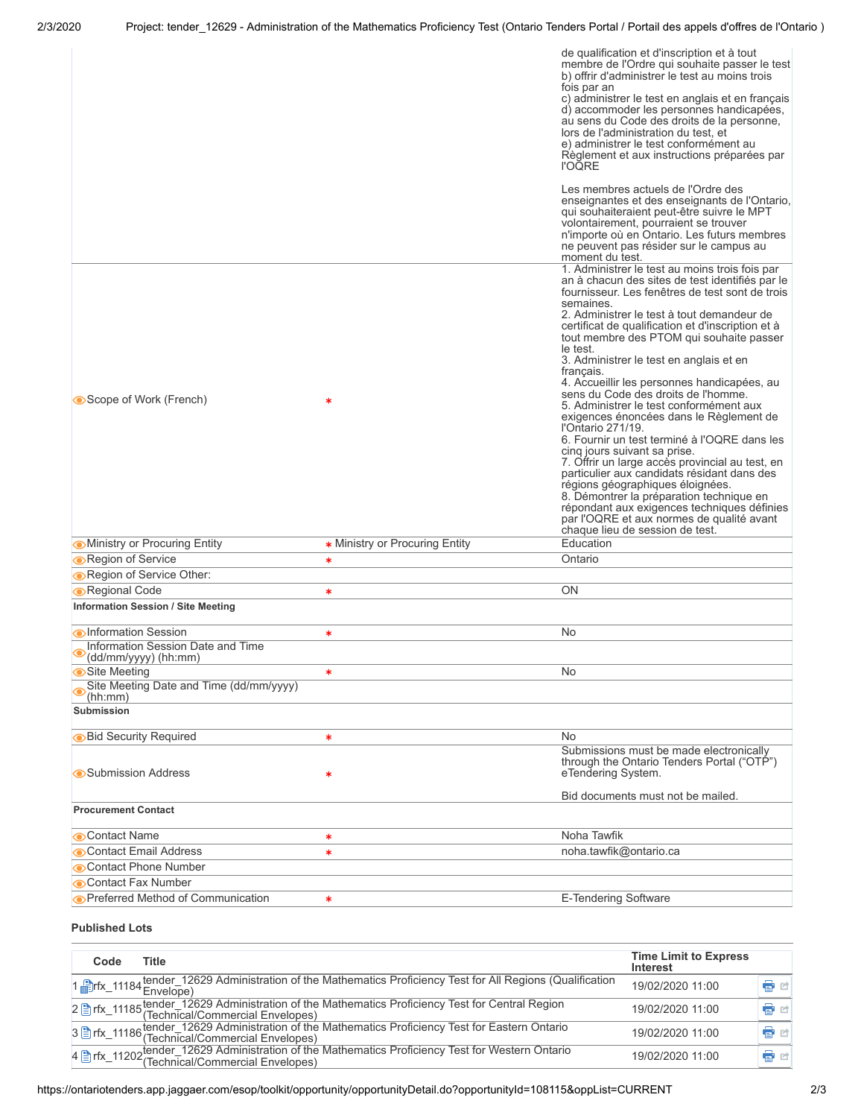|                                                                                           |                                | de qualification et d'inscription et à tout<br>membre de l'Ordre qui souhaite passer le test<br>b) offrir d'administrer le test au moins trois<br>fois par an<br>c) administrer le test en anglais et en français<br>d) accommoder les personnes handicapées,<br>au sens du Code des droits de la personne,<br>lors de l'administration du test, et<br>e) administrer le test conformément au<br>Règlement et aux instructions préparées par<br><b>I'OQRE</b>                                                                                                                                                                                                                                                                                                                                               |
|-------------------------------------------------------------------------------------------|--------------------------------|-------------------------------------------------------------------------------------------------------------------------------------------------------------------------------------------------------------------------------------------------------------------------------------------------------------------------------------------------------------------------------------------------------------------------------------------------------------------------------------------------------------------------------------------------------------------------------------------------------------------------------------------------------------------------------------------------------------------------------------------------------------------------------------------------------------|
|                                                                                           |                                | Les membres actuels de l'Ordre des<br>enseignantes et des enseignants de l'Ontario,<br>qui souhaiteraient peut-être suivre le MPT<br>volontairement, pourraient se trouver<br>n'importe où en Ontario. Les futurs membres<br>ne peuvent pas résider sur le campus au<br>moment du test.                                                                                                                                                                                                                                                                                                                                                                                                                                                                                                                     |
| Scope of Work (French)                                                                    |                                | 1. Administrer le test au moins trois fois par<br>an à chacun des sites de test identifiés par le<br>fournisseur. Les fenêtres de test sont de trois<br>semaines.<br>2. Administrer le test à tout demandeur de<br>certificat de qualification et d'inscription et à<br>tout membre des PTOM qui souhaite passer<br>le test.<br>3. Administrer le test en anglais et en<br>français.<br>4. Accueillir les personnes handicapées, au<br>sens du Code des droits de l'homme.<br>5. Administrer le test conformément aux<br>exigences énoncées dans le Règlement de<br>l'Ontario 271/19.<br>6. Fournir un test terminé à l'OQRE dans les<br>cinq jours suivant sa prise.<br>7. Offrir un large accès provincial au test, en<br>particulier aux candidats résidant dans des<br>régions géographiques éloignées. |
|                                                                                           |                                | 8. Démontrer la préparation technique en<br>répondant aux exigences techniques définies<br>par l'OQRE et aux normes de qualité avant<br>chaque lieu de session de test.                                                                                                                                                                                                                                                                                                                                                                                                                                                                                                                                                                                                                                     |
| <b>Ministry or Procuring Entity</b>                                                       | * Ministry or Procuring Entity | Education                                                                                                                                                                                                                                                                                                                                                                                                                                                                                                                                                                                                                                                                                                                                                                                                   |
| Region of Service                                                                         | *                              | Ontario                                                                                                                                                                                                                                                                                                                                                                                                                                                                                                                                                                                                                                                                                                                                                                                                     |
| Region of Service Other:                                                                  |                                |                                                                                                                                                                                                                                                                                                                                                                                                                                                                                                                                                                                                                                                                                                                                                                                                             |
| Regional Code                                                                             | *                              | ΟN                                                                                                                                                                                                                                                                                                                                                                                                                                                                                                                                                                                                                                                                                                                                                                                                          |
| <b>Information Session / Site Meeting</b>                                                 |                                |                                                                                                                                                                                                                                                                                                                                                                                                                                                                                                                                                                                                                                                                                                                                                                                                             |
| <b>Information Session</b><br>Information Session Date and Time<br>$(dd/mm/yyyy)$ (hh:mm) | *                              | No                                                                                                                                                                                                                                                                                                                                                                                                                                                                                                                                                                                                                                                                                                                                                                                                          |
| Site Meeting                                                                              | ∗                              | No                                                                                                                                                                                                                                                                                                                                                                                                                                                                                                                                                                                                                                                                                                                                                                                                          |
| Site Meeting Date and Time (dd/mm/yyyy)<br>(hh:mm)                                        |                                |                                                                                                                                                                                                                                                                                                                                                                                                                                                                                                                                                                                                                                                                                                                                                                                                             |
| <b>Submission</b>                                                                         |                                |                                                                                                                                                                                                                                                                                                                                                                                                                                                                                                                                                                                                                                                                                                                                                                                                             |
| <b>Bid Security Required</b>                                                              | *                              | No                                                                                                                                                                                                                                                                                                                                                                                                                                                                                                                                                                                                                                                                                                                                                                                                          |
| Submission Address                                                                        | *                              | Submissions must be made electronically<br>through the Ontario Tenders Portal ("OTP")<br>eTendering System.                                                                                                                                                                                                                                                                                                                                                                                                                                                                                                                                                                                                                                                                                                 |
| <b>Procurement Contact</b>                                                                |                                | Bid documents must not be mailed.                                                                                                                                                                                                                                                                                                                                                                                                                                                                                                                                                                                                                                                                                                                                                                           |
| Contact Name                                                                              | *                              | Noha Tawfik                                                                                                                                                                                                                                                                                                                                                                                                                                                                                                                                                                                                                                                                                                                                                                                                 |
| Contact Email Address                                                                     | *                              | noha.tawfik@ontario.ca                                                                                                                                                                                                                                                                                                                                                                                                                                                                                                                                                                                                                                                                                                                                                                                      |
| Contact Phone Number                                                                      |                                |                                                                                                                                                                                                                                                                                                                                                                                                                                                                                                                                                                                                                                                                                                                                                                                                             |
|                                                                                           |                                |                                                                                                                                                                                                                                                                                                                                                                                                                                                                                                                                                                                                                                                                                                                                                                                                             |
| Contact Fax Number<br>Preferred Method of Communication                                   | ∗                              | <b>E-Tendering Software</b>                                                                                                                                                                                                                                                                                                                                                                                                                                                                                                                                                                                                                                                                                                                                                                                 |

# **Published Lots**

| Code | <b>Title</b>                                                                                                             | <b>Time Limit to Express</b><br>Interest |    |
|------|--------------------------------------------------------------------------------------------------------------------------|------------------------------------------|----|
|      | 1 Frix_11184 tender_12629 Administration of the Mathematics Proficiency Test for All Regions (Qualification<br>Envelope) | 19/02/2020 11:00                         | Ġ  |
|      |                                                                                                                          | 19/02/2020 11:00                         | e. |
|      |                                                                                                                          | 19/02/2020 11:00                         | ŧ. |
|      |                                                                                                                          | 19/02/2020 11:00                         | ê  |